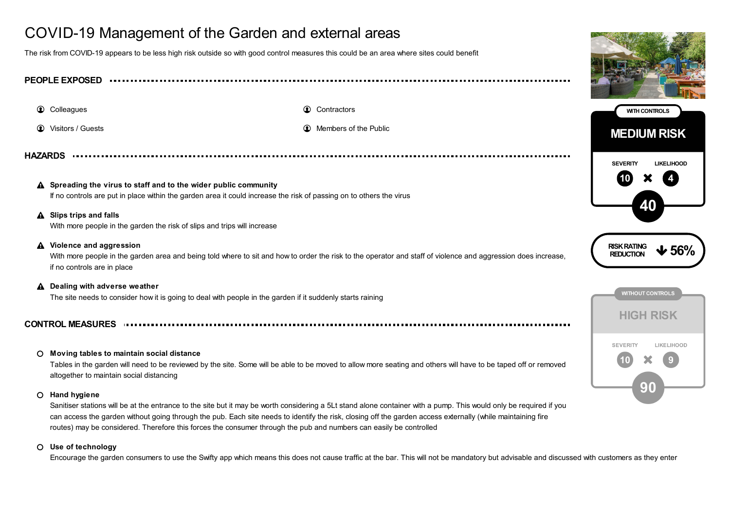# COVID-19 Management of the Garden and external areas

The risk from COVID-19 appears to be less high risk outside so with good control measures this could be an area where sites could benefit

| <b>PEOPLE EXPOSED</b> |                                                                                                                                                                                                                           |                                                                                                                                                                |                                                         |
|-----------------------|---------------------------------------------------------------------------------------------------------------------------------------------------------------------------------------------------------------------------|----------------------------------------------------------------------------------------------------------------------------------------------------------------|---------------------------------------------------------|
|                       | <b>Colleagues</b>                                                                                                                                                                                                         | <b>Q</b> Contractors                                                                                                                                           | <b>WITH CONTROLS</b>                                    |
| $\bullet$             | Visitors / Guests                                                                                                                                                                                                         | Members of the Public<br>$\circledcirc$                                                                                                                        | <b>MEDIUM RISK</b>                                      |
| <b>HAZARDS</b>        | <b>SEVERITY</b><br><b>LIKELIHOOD</b>                                                                                                                                                                                      |                                                                                                                                                                |                                                         |
|                       | $\triangle$ Spreading the virus to staff and to the wider public community<br>If no controls are put in place within the garden area it could increase the risk of passing on to others the virus                         |                                                                                                                                                                |                                                         |
|                       | A Slips trips and falls<br>With more people in the garden the risk of slips and trips will increase                                                                                                                       |                                                                                                                                                                |                                                         |
|                       | A Violence and aggression<br>With more people in the garden area and being told where to sit and how to order the risk to the operator and staff of violence and aggression does increase,<br>if no controls are in place |                                                                                                                                                                | <b>RISK RATING</b><br>$\bigvee$ 56%<br><b>REDUCTION</b> |
|                       | A Dealing with adverse weather<br>The site needs to consider how it is going to deal with people in the garden if it suddenly starts raining                                                                              |                                                                                                                                                                | <b>WITHOUT CONTROLS</b>                                 |
|                       |                                                                                                                                                                                                                           |                                                                                                                                                                | <b>HIGH RISK</b>                                        |
| $\circ$               | Moving tables to maintain social distance<br>altogether to maintain social distancing                                                                                                                                     | Tables in the garden will need to be reviewed by the site. Some will be able to be moved to allow more seating and others will have to be taped off or removed | <b>SEVERITY</b><br><b>LIKELIHOOD</b>                    |

### **Hand hygiene**

Sanitiser stations will be at the entrance to the site but it may be worth considering a 5Lt stand alone container with a pump. This would only be required if you can access the garden without going through the pub. Each site needs to identify the risk, closing off the garden access externally (while maintaining fire routes) may be considered. Therefore this forces the consumer through the pub and numbers can easily be controlled

#### **Use of technology**

Encourage the garden consumers to use the Swifty app which means this does not cause traffic at the bar. This will not be mandatory but advisable and discussed with customers as they enter

90